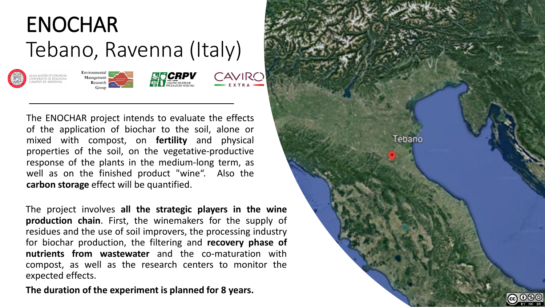











The ENOCHAR project intends to evaluate the effects of the application of biochar to the soil, alone or mixed with compost, on **fertility** and physical properties of the soil, on the vegetative-productive response of the plants in the medium-long term, as well as on the finished product "wine". Also the **carbon storage** effect will be quantified.

The project involves **all the strategic players in the wine production chain**. First, the winemakers for the supply of residues and the use of soil improvers, the processing industry for biochar production, the filtering and **recovery phase of nutrients from wastewater** and the co-maturation with compost, as well as the research centers to monitor the expected effects.

**The duration of the experiment is planned for 8 years.**

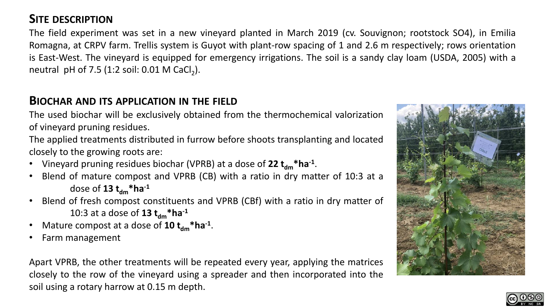# **SITE DESCRIPTION**

The field experiment was set in a new vineyard planted in March 2019 (cv. Souvignon; rootstock SO4), in Emilia Romagna, at CRPV farm. Trellis system is Guyot with plant-row spacing of 1 and 2.6 m respectively; rows orientation is East-West. The vineyard is equipped for emergency irrigations. The soil is a sandy clay loam (USDA, 2005) with a neutral pH of 7.5 (1:2 soil: 0.01 M CaCl<sub>2</sub>).

## **BIOCHAR AND ITS APPLICATION IN THE FIELD**

The used biochar will be exclusively obtained from the thermochemical valorization of vineyard pruning residues.

The applied treatments distributed in furrow before shoots transplanting and located closely to the growing roots are:

- Vineyard pruning residues biochar (VPRB) at a dose of 22  $t_{dm}$ \*ha<sup>-1</sup>.
- Blend of mature compost and VPRB (CB) with a ratio in dry matter of 10:3 at a dose of **13**  $t_{dm}$ **\*ha**<sup>-1</sup>
- Blend of fresh compost constituents and VPRB (CBf) with a ratio in dry matter of 10:3 at a dose of **13 tdm\*ha-1**
- Mature compost at a dose of **10 t<sub>dm</sub>\*ha**<sup>-1</sup>.
- Farm management

Apart VPRB, the other treatments will be repeated every year, applying the matrices closely to the row of the vineyard using a spreader and then incorporated into the soil using a rotary harrow at 0.15 m depth.



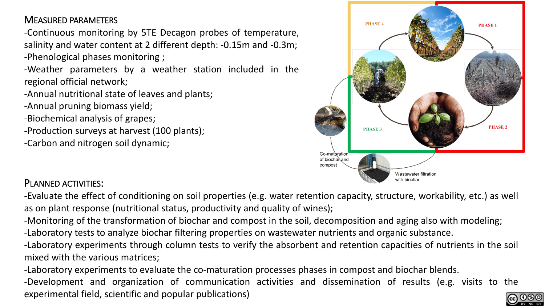### MEASURED PARAMETERS

-Continuous monitoring by 5TE Decagon probes of temperature, salinity and water content at 2 different depth: -0.15m and -0.3m; -Phenological phases monitoring ;

-Weather parameters by a weather station included in the regional official network;

-Annual nutritional state of leaves and plants;

-Annual pruning biomass yield;

-Biochemical analysis of grapes;

-Production surveys at harvest (100 plants);

-Carbon and nitrogen soil dynamic;



### PLANNED ACTIVITIES:

-Evaluate the effect of conditioning on soil properties (e.g. water retention capacity, structure, workability, etc.) as well as on plant response (nutritional status, productivity and quality of wines);

-Monitoring of the transformation of biochar and compost in the soil, decomposition and aging also with modeling;

-Laboratory tests to analyze biochar filtering properties on wastewater nutrients and organic substance.

-Laboratory experiments through column tests to verify the absorbent and retention capacities of nutrients in the soil mixed with the various matrices;

-Laboratory experiments to evaluate the co-maturation processes phases in compost and biochar blends.

-Development and organization of communication activities and dissemination of results (e.g. visits to the experimental field, scientific and popular publications)